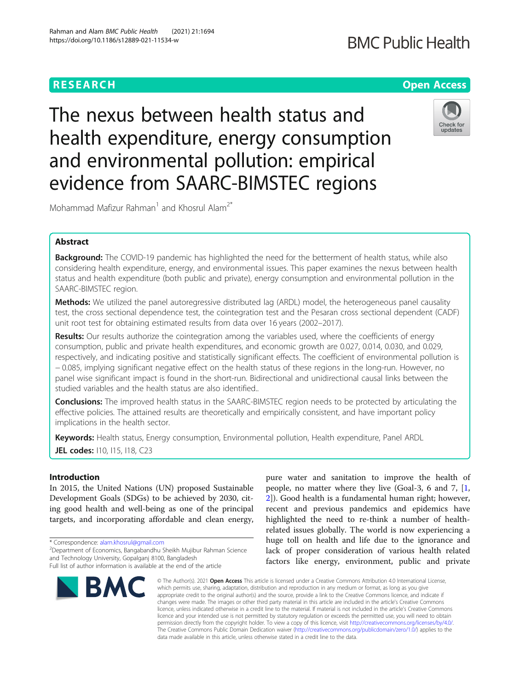# **RESEARCH CHE Open Access**

# **BMC Public Health**

The nexus between health status and health expenditure, energy consumption and environmental pollution: empirical evidence from SAARC-BIMSTEC regions



Mohammad Mafizur Rahman<sup>1</sup> and Khosrul Alam<sup>2\*</sup>

# Abstract

**Background:** The COVID-19 pandemic has highlighted the need for the betterment of health status, while also considering health expenditure, energy, and environmental issues. This paper examines the nexus between health status and health expenditure (both public and private), energy consumption and environmental pollution in the SAARC-BIMSTEC region.

Methods: We utilized the panel autoregressive distributed lag (ARDL) model, the heterogeneous panel causality test, the cross sectional dependence test, the cointegration test and the Pesaran cross sectional dependent (CADF) unit root test for obtaining estimated results from data over 16 years (2002–2017).

Results: Our results authorize the cointegration among the variables used, where the coefficients of energy consumption, public and private health expenditures, and economic growth are 0.027, 0.014, 0.030, and 0.029, respectively, and indicating positive and statistically significant effects. The coefficient of environmental pollution is − 0.085, implying significant negative effect on the health status of these regions in the long-run. However, no panel wise significant impact is found in the short-run. Bidirectional and unidirectional causal links between the studied variables and the health status are also identified..

Conclusions: The improved health status in the SAARC-BIMSTEC region needs to be protected by articulating the effective policies. The attained results are theoretically and empirically consistent, and have important policy implications in the health sector.

Keywords: Health status, Energy consumption, Environmental pollution, Health expenditure, Panel ARDL JEL codes: 110, 115, 118, C23

# Introduction

In 2015, the United Nations (UN) proposed Sustainable Development Goals (SDGs) to be achieved by 2030, citing good health and well-being as one of the principal targets, and incorporating affordable and clean energy,

\* Correspondence: [alam.khosrul@gmail.com](mailto:alam.khosrul@gmail.com) <sup>2</sup>

Department of Economics, Bangabandhu Sheikh Mujibur Rahman Science and Technology University, Gopalganj 8100, Bangladesh Full list of author information is available at the end of the article



pure water and sanitation to improve the health of people, no matter where they live (Goal-3, 6 and 7, [\[1](#page-10-0), [2\]](#page-10-0)). Good health is a fundamental human right; however, recent and previous pandemics and epidemics have highlighted the need to re-think a number of healthrelated issues globally. The world is now experiencing a huge toll on health and life due to the ignorance and lack of proper consideration of various health related factors like energy, environment, public and private

© The Author(s), 2021 **Open Access** This article is licensed under a Creative Commons Attribution 4.0 International License, which permits use, sharing, adaptation, distribution and reproduction in any medium or format, as long as you give appropriate credit to the original author(s) and the source, provide a link to the Creative Commons licence, and indicate if changes were made. The images or other third party material in this article are included in the article's Creative Commons licence, unless indicated otherwise in a credit line to the material. If material is not included in the article's Creative Commons licence and your intended use is not permitted by statutory regulation or exceeds the permitted use, you will need to obtain permission directly from the copyright holder. To view a copy of this licence, visit [http://creativecommons.org/licenses/by/4.0/.](http://creativecommons.org/licenses/by/4.0/) The Creative Commons Public Domain Dedication waiver [\(http://creativecommons.org/publicdomain/zero/1.0/](http://creativecommons.org/publicdomain/zero/1.0/)) applies to the data made available in this article, unless otherwise stated in a credit line to the data.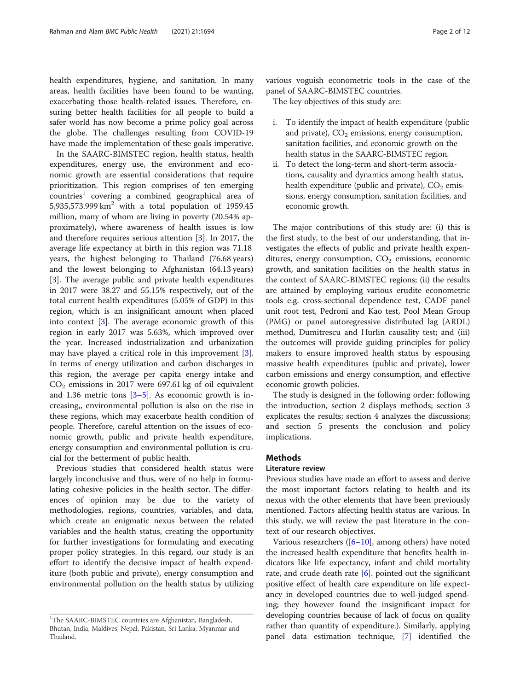health expenditures, hygiene, and sanitation. In many areas, health facilities have been found to be wanting, exacerbating those health-related issues. Therefore, ensuring better health facilities for all people to build a safer world has now become a prime policy goal across the globe. The challenges resulting from COVID-19 have made the implementation of these goals imperative.

In the SAARC-BIMSTEC region, health status, health expenditures, energy use, the environment and economic growth are essential considerations that require prioritization. This region comprises of ten emerging countries<sup>1</sup> covering a combined geographical area of 5,935,573.999  $km^2$  with a total population of 1959.45 million, many of whom are living in poverty (20.54% approximately), where awareness of health issues is low and therefore requires serious attention [[3\]](#page-10-0). In 2017, the average life expectancy at birth in this region was 71.18 years, the highest belonging to Thailand (76.68 years) and the lowest belonging to Afghanistan (64.13 years) [[3\]](#page-10-0). The average public and private health expenditures in 2017 were 38.27 and 55.15% respectively, out of the total current health expenditures (5.05% of GDP) in this region, which is an insignificant amount when placed into context [[3](#page-10-0)]. The average economic growth of this region in early 2017 was 5.63%, which improved over the year. Increased industrialization and urbanization may have played a critical role in this improvement [\[3](#page-10-0)]. In terms of energy utilization and carbon discharges in this region, the average per capita energy intake and  $CO<sub>2</sub>$  emissions in 2017 were 697.61 kg of oil equivalent and 1.[3](#page-10-0)6 metric tons  $[3-5]$  $[3-5]$ . As economic growth is increasing,, environmental pollution is also on the rise in these regions, which may exacerbate health condition of people. Therefore, careful attention on the issues of economic growth, public and private health expenditure, energy consumption and environmental pollution is crucial for the betterment of public health.

Previous studies that considered health status were largely inconclusive and thus, were of no help in formulating cohesive policies in the health sector. The differences of opinion may be due to the variety of methodologies, regions, countries, variables, and data, which create an enigmatic nexus between the related variables and the health status, creating the opportunity for further investigations for formulating and executing proper policy strategies. In this regard, our study is an effort to identify the decisive impact of health expenditure (both public and private), energy consumption and environmental pollution on the health status by utilizing various voguish econometric tools in the case of the panel of SAARC-BIMSTEC countries.

The key objectives of this study are:

- i. To identify the impact of health expenditure (public and private),  $CO<sub>2</sub>$  emissions, energy consumption, sanitation facilities, and economic growth on the health status in the SAARC-BIMSTEC region.
- ii. To detect the long-term and short-term associations, causality and dynamics among health status, health expenditure (public and private),  $CO<sub>2</sub>$  emissions, energy consumption, sanitation facilities, and economic growth.

The major contributions of this study are: (i) this is the first study, to the best of our understanding, that investigates the effects of public and private health expenditures, energy consumption,  $CO<sub>2</sub>$  emissions, economic growth, and sanitation facilities on the health status in the context of SAARC-BIMSTEC regions; (ii) the results are attained by employing various erudite econometric tools e.g. cross-sectional dependence test, CADF panel unit root test, Pedroni and Kao test, Pool Mean Group (PMG) or panel autoregressive distributed lag (ARDL) method, Dumitrescu and Hurlin causality test; and (iii) the outcomes will provide guiding principles for policy makers to ensure improved health status by espousing massive health expenditures (public and private), lower carbon emissions and energy consumption, and effective economic growth policies.

The study is designed in the following order: following the introduction, section 2 displays methods; section 3 explicates the results; section 4 analyzes the discussions; and section 5 presents the conclusion and policy implications.

### **Methods**

# Literature review

Previous studies have made an effort to assess and derive the most important factors relating to health and its nexus with the other elements that have been previously mentioned. Factors affecting health status are various. In this study, we will review the past literature in the context of our research objectives.

Various researchers  $([6–10]$  $([6–10]$  $([6–10]$  $([6–10]$  $([6–10]$ , among others) have noted the increased health expenditure that benefits health indicators like life expectancy, infant and child mortality rate, and crude death rate  $[6]$  $[6]$ . pointed out the significant positive effect of health care expenditure on life expectancy in developed countries due to well-judged spending; they however found the insignificant impact for developing countries because of lack of focus on quality rather than quantity of expenditure.). Similarly, applying panel data estimation technique, [[7](#page-10-0)] identified the

<sup>&</sup>lt;sup>1</sup>The SAARC-BIMSTEC countries are Afghanistan, Bangladesh, Bhutan, India, Maldives, Nepal, Pakistan, Sri Lanka, Myanmar and Thailand.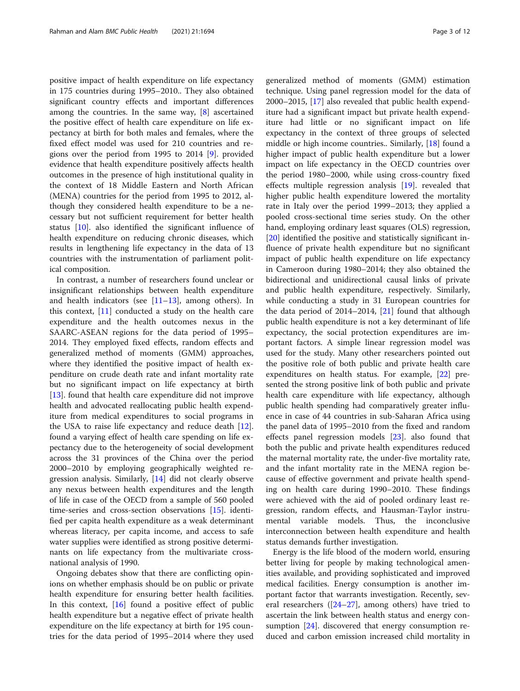positive impact of health expenditure on life expectancy in 175 countries during 1995–2010.. They also obtained significant country effects and important differences among the countries. In the same way, [\[8](#page-10-0)] ascertained the positive effect of health care expenditure on life expectancy at birth for both males and females, where the fixed effect model was used for 210 countries and regions over the period from 1995 to 2014 [\[9](#page-10-0)]. provided evidence that health expenditure positively affects health outcomes in the presence of high institutional quality in the context of 18 Middle Eastern and North African (MENA) countries for the period from 1995 to 2012, although they considered health expenditure to be a necessary but not sufficient requirement for better health status [[10\]](#page-10-0). also identified the significant influence of health expenditure on reducing chronic diseases, which results in lengthening life expectancy in the data of 13 countries with the instrumentation of parliament political composition.

In contrast, a number of researchers found unclear or insignificant relationships between health expenditure and health indicators (see  $[11-13]$  $[11-13]$  $[11-13]$  $[11-13]$  $[11-13]$ , among others). In this context, [\[11](#page-10-0)] conducted a study on the health care expenditure and the health outcomes nexus in the SAARC-ASEAN regions for the data period of 1995– 2014. They employed fixed effects, random effects and generalized method of moments (GMM) approaches, where they identified the positive impact of health expenditure on crude death rate and infant mortality rate but no significant impact on life expectancy at birth [[13\]](#page-10-0). found that health care expenditure did not improve health and advocated reallocating public health expenditure from medical expenditures to social programs in the USA to raise life expectancy and reduce death [\[12](#page-10-0)]. found a varying effect of health care spending on life expectancy due to the heterogeneity of social development across the 31 provinces of the China over the period 2000–2010 by employing geographically weighted regression analysis. Similarly, [\[14\]](#page-10-0) did not clearly observe any nexus between health expenditures and the length of life in case of the OECD from a sample of 560 pooled time-series and cross-section observations [\[15](#page-10-0)]. identified per capita health expenditure as a weak determinant whereas literacy, per capita income, and access to safe water supplies were identified as strong positive determinants on life expectancy from the multivariate crossnational analysis of 1990.

Ongoing debates show that there are conflicting opinions on whether emphasis should be on public or private health expenditure for ensuring better health facilities. In this context, [[16](#page-10-0)] found a positive effect of public health expenditure but a negative effect of private health expenditure on the life expectancy at birth for 195 countries for the data period of 1995–2014 where they used generalized method of moments (GMM) estimation technique. Using panel regression model for the data of 2000–2015, [\[17](#page-10-0)] also revealed that public health expenditure had a significant impact but private health expenditure had little or no significant impact on life expectancy in the context of three groups of selected middle or high income countries.. Similarly, [\[18\]](#page-10-0) found a higher impact of public health expenditure but a lower impact on life expectancy in the OECD countries over the period 1980–2000, while using cross-country fixed effects multiple regression analysis [[19\]](#page-10-0). revealed that higher public health expenditure lowered the mortality rate in Italy over the period 1999–2013; they applied a pooled cross-sectional time series study. On the other hand, employing ordinary least squares (OLS) regression, [[20\]](#page-10-0) identified the positive and statistically significant influence of private health expenditure but no significant impact of public health expenditure on life expectancy in Cameroon during 1980–2014; they also obtained the bidirectional and unidirectional causal links of private and public health expenditure, respectively. Similarly, while conducting a study in 31 European countries for the data period of 2014–2014,  $[21]$  $[21]$  found that although public health expenditure is not a key determinant of life expectancy, the social protection expenditures are important factors. A simple linear regression model was used for the study. Many other researchers pointed out the positive role of both public and private health care expenditures on health status. For example, [\[22](#page-10-0)] presented the strong positive link of both public and private health care expenditure with life expectancy, although public health spending had comparatively greater influence in case of 44 countries in sub-Saharan Africa using the panel data of 1995–2010 from the fixed and random effects panel regression models [\[23\]](#page-10-0). also found that both the public and private health expenditures reduced the maternal mortality rate, the under-five mortality rate, and the infant mortality rate in the MENA region because of effective government and private health spending on health care during 1990–2010. These findings were achieved with the aid of pooled ordinary least regression, random effects, and Hausman-Taylor instrumental variable models. Thus, the inconclusive interconnection between health expenditure and health status demands further investigation.

Energy is the life blood of the modern world, ensuring better living for people by making technological amenities available, and providing sophisticated and improved medical facilities. Energy consumption is another important factor that warrants investigation. Recently, several researchers ( $[24-27]$  $[24-27]$  $[24-27]$  $[24-27]$  $[24-27]$ , among others) have tried to ascertain the link between health status and energy consumption [[24\]](#page-10-0). discovered that energy consumption reduced and carbon emission increased child mortality in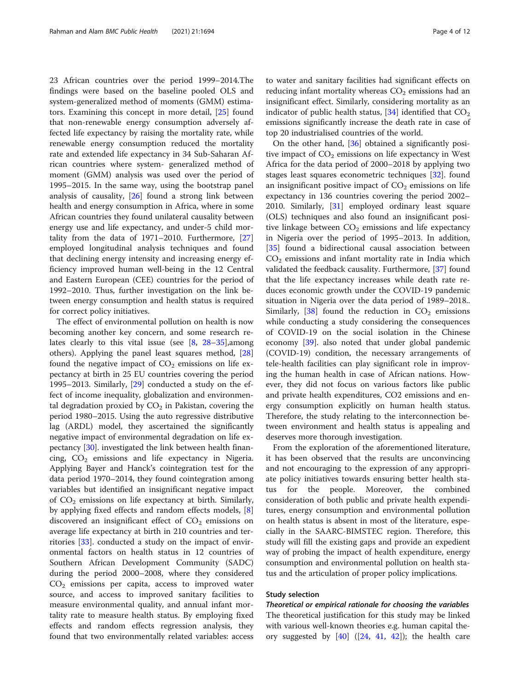23 African countries over the period 1999–2014.The findings were based on the baseline pooled OLS and system-generalized method of moments (GMM) estimators. Examining this concept in more detail, [[25](#page-10-0)] found that non-renewable energy consumption adversely affected life expectancy by raising the mortality rate, while renewable energy consumption reduced the mortality rate and extended life expectancy in 34 Sub-Saharan African countries where system- generalized method of moment (GMM) analysis was used over the period of 1995–2015. In the same way, using the bootstrap panel analysis of causality, [\[26](#page-10-0)] found a strong link between health and energy consumption in Africa, where in some African countries they found unilateral causality between energy use and life expectancy, and under-5 child mortality from the data of 1971–2010. Furthermore, [[27](#page-10-0)] employed longitudinal analysis techniques and found that declining energy intensity and increasing energy efficiency improved human well-being in the 12 Central and Eastern European (CEE) countries for the period of 1992–2010. Thus, further investigation on the link between energy consumption and health status is required for correct policy initiatives.

The effect of environmental pollution on health is now becoming another key concern, and some research relates clearly to this vital issue (see  $[8, 28-35]$  $[8, 28-35]$  $[8, 28-35]$  $[8, 28-35]$  $[8, 28-35]$  $[8, 28-35]$ , among others). Applying the panel least squares method, [[28](#page-10-0)] found the negative impact of  $CO<sub>2</sub>$  emissions on life expectancy at birth in 25 EU countries covering the period 1995–2013. Similarly, [[29](#page-10-0)] conducted a study on the effect of income inequality, globalization and environmental degradation proxied by  $CO<sub>2</sub>$  in Pakistan, covering the period 1980–2015. Using the auto regressive distributive lag (ARDL) model, they ascertained the significantly negative impact of environmental degradation on life expectancy [[30](#page-10-0)]. investigated the link between health financing,  $CO<sub>2</sub>$  emissions and life expectancy in Nigeria. Applying Bayer and Hanck's cointegration test for the data period 1970–2014, they found cointegration among variables but identified an insignificant negative impact of  $CO<sub>2</sub>$  emissions on life expectancy at birth. Similarly, by applying fixed effects and random effects models, [\[8](#page-10-0)] discovered an insignificant effect of  $CO<sub>2</sub>$  emissions on average life expectancy at birth in 210 countries and territories [[33](#page-10-0)]. conducted a study on the impact of environmental factors on health status in 12 countries of Southern African Development Community (SADC) during the period 2000–2008, where they considered  $CO<sub>2</sub>$  emissions per capita, access to improved water source, and access to improved sanitary facilities to measure environmental quality, and annual infant mortality rate to measure health status. By employing fixed effects and random effects regression analysis, they found that two environmentally related variables: access

to water and sanitary facilities had significant effects on reducing infant mortality whereas  $CO<sub>2</sub>$  emissions had an insignificant effect. Similarly, considering mortality as an indicator of public health status,  $[34]$  $[34]$  identified that  $CO<sub>2</sub>$ emissions significantly increase the death rate in case of top 20 industrialised countries of the world.

On the other hand, [\[36](#page-10-0)] obtained a significantly positive impact of  $CO<sub>2</sub>$  emissions on life expectancy in West Africa for the data period of 2000–2018 by applying two stages least squares econometric techniques [[32](#page-10-0)]. found an insignificant positive impact of  $CO<sub>2</sub>$  emissions on life expectancy in 136 countries covering the period 2002– 2010. Similarly, [[31\]](#page-10-0) employed ordinary least square (OLS) techniques and also found an insignificant positive linkage between  $CO<sub>2</sub>$  emissions and life expectancy in Nigeria over the period of 1995–2013. In addition, [[35\]](#page-10-0) found a bidirectional causal association between  $CO<sub>2</sub>$  emissions and infant mortality rate in India which validated the feedback causality. Furthermore, [[37\]](#page-11-0) found that the life expectancy increases while death rate reduces economic growth under the COVID-19 pandemic situation in Nigeria over the data period of 1989–2018.. Similarly,  $[38]$  $[38]$  found the reduction in  $CO<sub>2</sub>$  emissions while conducting a study considering the consequences of COVID-19 on the social isolation in the Chinese economy [[39\]](#page-11-0). also noted that under global pandemic (COVID-19) condition, the necessary arrangements of tele-health facilities can play significant role in improving the human health in case of African nations. However, they did not focus on various factors like public and private health expenditures, CO2 emissions and energy consumption explicitly on human health status. Therefore, the study relating to the interconnection between environment and health status is appealing and deserves more thorough investigation.

From the exploration of the aforementioned literature, it has been observed that the results are unconvincing and not encouraging to the expression of any appropriate policy initiatives towards ensuring better health status for the people. Moreover, the combined consideration of both public and private health expenditures, energy consumption and environmental pollution on health status is absent in most of the literature, especially in the SAARC-BIMSTEC region. Therefore, this study will fill the existing gaps and provide an expedient way of probing the impact of health expenditure, energy consumption and environmental pollution on health status and the articulation of proper policy implications.

#### Study selection

Theoretical or empirical rationale for choosing the variables The theoretical justification for this study may be linked with various well-known theories e.g. human capital theory suggested by  $[40]$  $[40]$  ( $[24, 41, 42]$  $[24, 41, 42]$  $[24, 41, 42]$  $[24, 41, 42]$  $[24, 41, 42]$ ); the health care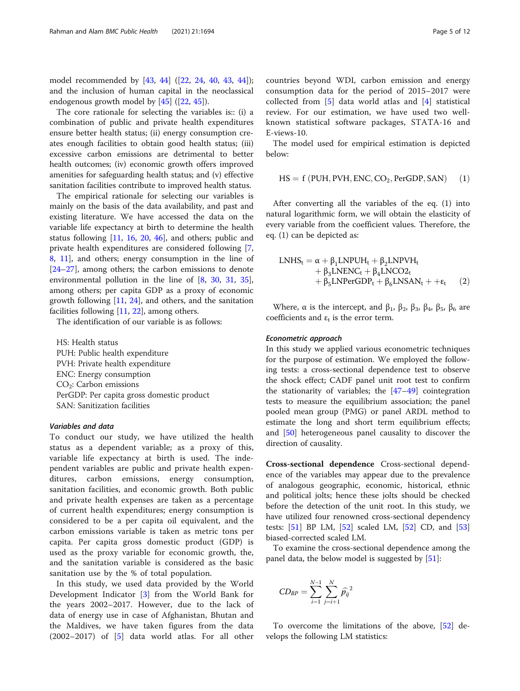model recommended by [[43](#page-11-0), [44\]](#page-11-0) ([[22,](#page-10-0) [24,](#page-10-0) [40](#page-11-0), [43,](#page-11-0) [44](#page-11-0)]); and the inclusion of human capital in the neoclassical endogenous growth model by [\[45](#page-11-0)] ([[22](#page-10-0), [45](#page-11-0)]).

The core rationale for selecting the variables is:: (i) a combination of public and private health expenditures ensure better health status; (ii) energy consumption creates enough facilities to obtain good health status; (iii) excessive carbon emissions are detrimental to better health outcomes; (iv) economic growth offers improved amenities for safeguarding health status; and (v) effective sanitation facilities contribute to improved health status.

The empirical rationale for selecting our variables is mainly on the basis of the data availability, and past and existing literature. We have accessed the data on the variable life expectancy at birth to determine the health status following [\[11,](#page-10-0) [16,](#page-10-0) [20,](#page-10-0) [46\]](#page-11-0), and others; public and private health expenditures are considered following [\[7](#page-10-0), [8,](#page-10-0) [11\]](#page-10-0), and others; energy consumption in the line of [[24](#page-10-0)–[27](#page-10-0)], among others; the carbon emissions to denote environmental pollution in the line of [[8](#page-10-0), [30](#page-10-0), [31](#page-10-0), [35](#page-10-0)], among others; per capita GDP as a proxy of economic growth following  $[11, 24]$  $[11, 24]$  $[11, 24]$  $[11, 24]$ , and others, and the sanitation facilities following [[11,](#page-10-0) [22](#page-10-0)], among others.

The identification of our variable is as follows:

HS: Health status PUH: Public health expenditure PVH: Private health expenditure ENC: Energy consumption  $CO<sub>2</sub>$ : Carbon emissions PerGDP: Per capita gross domestic product SAN: Sanitization facilities

#### Variables and data

To conduct our study, we have utilized the health status as a dependent variable; as a proxy of this, variable life expectancy at birth is used. The independent variables are public and private health expenditures, carbon emissions, energy consumption, sanitation facilities, and economic growth. Both public and private health expenses are taken as a percentage of current health expenditures; energy consumption is considered to be a per capita oil equivalent, and the carbon emissions variable is taken as metric tons per capita. Per capita gross domestic product (GDP) is used as the proxy variable for economic growth, the, and the sanitation variable is considered as the basic sanitation use by the % of total population.

In this study, we used data provided by the World Development Indicator [[3\]](#page-10-0) from the World Bank for the years 2002–2017. However, due to the lack of data of energy use in case of Afghanistan, Bhutan and the Maldives, we have taken figures from the data  $(2002-2017)$  of  $[5]$  $[5]$  data world atlas. For all other

countries beyond WDI, carbon emission and energy consumption data for the period of 2015–2017 were collected from [[5](#page-10-0)] data world atlas and [[4\]](#page-10-0) statistical review. For our estimation, we have used two wellknown statistical software packages, STATA-16 and E-views-10.

The model used for empirical estimation is depicted below:

$$
HS = f (PUH, PVH, ENC, CO2, PerGDP, SAN) (1)
$$

After converting all the variables of the eq. (1) into natural logarithmic form, we will obtain the elasticity of every variable from the coefficient values. Therefore, the eq. (1) can be depicted as:

$$
\begin{array}{l} \text{LNHS}_{t}=\alpha+\beta_{1}\text{LNPUH}_{t}+\beta_{2}\text{LNPVH}_{t}\\+\beta_{3}\text{LNENC}_{t}+\beta_{4}\text{LNCO2}_{t}\\+\beta_{5}\text{LNPerGDP}_{t}+\beta_{6}\text{LNSAN}_{t}++\epsilon_{t}\end{array}\quad(2)
$$

Where,  $\alpha$  is the intercept, and  $\beta_1$ ,  $\beta_2$ ,  $\beta_3$ ,  $\beta_4$ ,  $\beta_5$ ,  $\beta_6$  are coefficients and  $\varepsilon_t$  is the error term.

#### Econometric approach

In this study we applied various econometric techniques for the purpose of estimation. We employed the following tests: a cross-sectional dependence test to observe the shock effect; CADF panel unit root test to confirm the stationarity of variables; the  $[47-49]$  $[47-49]$  $[47-49]$  $[47-49]$  $[47-49]$  cointegration tests to measure the equilibrium association; the panel pooled mean group (PMG) or panel ARDL method to estimate the long and short term equilibrium effects; and [\[50](#page-11-0)] heterogeneous panel causality to discover the direction of causality.

Cross-sectional dependence Cross-sectional dependence of the variables may appear due to the prevalence of analogous geographic, economic, historical, ethnic and political jolts; hence these jolts should be checked before the detection of the unit root. In this study, we have utilized four renowned cross-sectional dependency tests: [\[51\]](#page-11-0) BP LM, [[52\]](#page-11-0) scaled LM, [\[52\]](#page-11-0) CD, and [[53](#page-11-0)] biased-corrected scaled LM.

To examine the cross-sectional dependence among the panel data, the below model is suggested by [\[51](#page-11-0)]:

$$
CD_{BP} = \sum_{i=1}^{N-1} \sum_{j=i+1}^{N} \widehat{p}_{ij}^{2}
$$

To overcome the limitations of the above, [\[52\]](#page-11-0) develops the following LM statistics: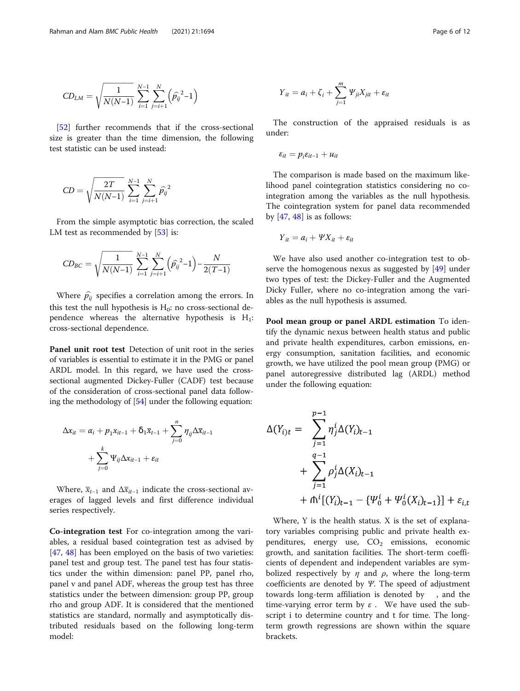$$
CD_{LM} = \sqrt{\frac{1}{N(N-1)}} \sum_{i=1}^{N-1} \sum_{j=i+1}^{N} (\hat{p}_{ij}^{2}-1)
$$

[[52\]](#page-11-0) further recommends that if the cross-sectional size is greater than the time dimension, the following test statistic can be used instead:

$$
CD = \sqrt{\frac{2T}{N(N-1)}} \sum_{i=1}^{N-1} \sum_{j=i+1}^{N} \widehat{p}_{ij}^{2}
$$

From the simple asymptotic bias correction, the scaled LM test as recommended by [[53\]](#page-11-0) is:

$$
CD_{BC} = \sqrt{\frac{1}{N(N-1)}} \sum_{i=1}^{N-1} \sum_{j=i+1}^{N} (\hat{p}_{ij}^{2} - 1) - \frac{N}{2(T-1)}
$$

Where  $\hat{p}_{ii}$  specifies a correlation among the errors. In this test the null hypothesis is  $H_0$ : no cross-sectional dependence whereas the alternative hypothesis is  $H_1$ : cross-sectional dependence.

Panel unit root test Detection of unit root in the series of variables is essential to estimate it in the PMG or panel ARDL model. In this regard, we have used the crosssectional augmented Dickey-Fuller (CADF) test because of the consideration of cross-sectional panel data following the methodology of [\[54](#page-11-0)] under the following equation:

$$
\Delta x_{it} = \alpha_i + p_1 x_{it-1} + \delta_1 \overline{x}_{t-1} + \sum_{j=0}^n \eta_{ij} \Delta \overline{x}_{it-1} + \sum_{j=0}^k \Psi_{ij} \Delta x_{it-1} + \varepsilon_{it}
$$

Where,  $\bar{x}_{t-1}$  and  $\Delta \bar{x}_{it-1}$  indicate the cross-sectional averages of lagged levels and first difference individual series respectively.

Co-integration test For co-integration among the variables, a residual based cointegration test as advised by [[47,](#page-11-0) [48\]](#page-11-0) has been employed on the basis of two varieties: panel test and group test. The panel test has four statistics under the within dimension: panel PP, panel rho, panel v and panel ADF, whereas the group test has three statistics under the between dimension: group PP, group rho and group ADF. It is considered that the mentioned statistics are standard, normally and asymptotically distributed residuals based on the following long-term model:

$$
Y_{it} = a_i + \zeta_i + \sum_{j=1}^m \Psi_{ji} X_{jit} + \varepsilon_{it}
$$

The construction of the appraised residuals is as under:

$$
\varepsilon_{it} = p_i \varepsilon_{it-1} + u_{it}
$$

The comparison is made based on the maximum likelihood panel cointegration statistics considering no cointegration among the variables as the null hypothesis. The cointegration system for panel data recommended by  $[47, 48]$  $[47, 48]$  $[47, 48]$  $[47, 48]$  is as follows:

$$
Y_{it} = a_i + \Psi X_{it} + \varepsilon_{it}
$$

We have also used another co-integration test to observe the homogenous nexus as suggested by [\[49](#page-11-0)] under two types of test: the Dickey-Fuller and the Augmented Dicky Fuller, where no co-integration among the variables as the null hypothesis is assumed.

Pool mean group or panel ARDL estimation To identify the dynamic nexus between health status and public and private health expenditures, carbon emissions, energy consumption, sanitation facilities, and economic growth, we have utilized the pool mean group (PMG) or panel autoregressive distributed lag (ARDL) method under the following equation:

$$
\Delta(Y_{i})_t = \sum_{j=1}^{p-1} \eta_j^i \Delta(Y_i)_{t-1} + \sum_{j=1}^{q-1} \rho_j^i \Delta(X_i)_{t-1} + \Lambda^i [(Y_i)_{t-1} - {\Psi_0^i + \Psi_0^i(X_i)_{t-1}}] + \varepsilon_{i,t}
$$

Where, Y is the health status. X is the set of explanatory variables comprising public and private health expenditures, energy use,  $CO<sub>2</sub>$  emissions, economic growth, and sanitation facilities. The short-term coefficients of dependent and independent variables are symbolized respectively by  $\eta$  and  $\rho$ , where the long-term coefficients are denoted by Ψ. The speed of adjustment towards long-term affiliation is denoted by , and the time-varying error term by  $\varepsilon$ . We have used the subscript i to determine country and t for time. The longterm growth regressions are shown within the square brackets.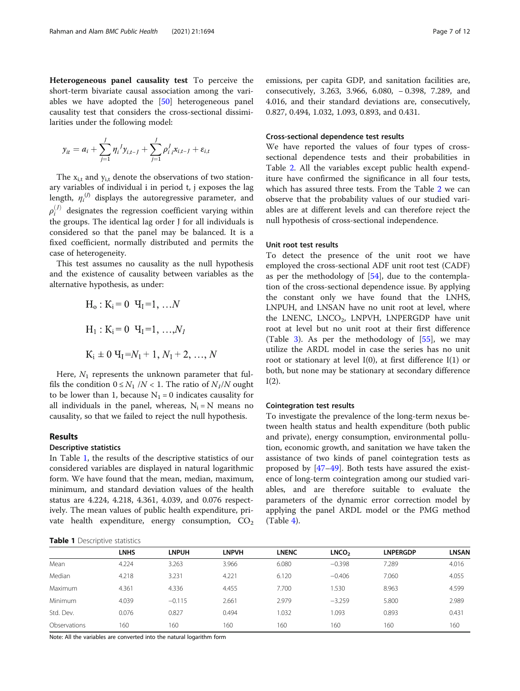Heterogeneous panel causality test To perceive the short-term bivariate causal association among the variables we have adopted the [[50\]](#page-11-0) heterogeneous panel causality test that considers the cross-sectional dissimilarities under the following model:

$$
y_{it} = a_i + \sum_{j=1}^{J} \eta_i^{\ d} y_{i,t-J} + \sum_{j=1}^{J} \rho_i^{\ d} x_{i,t-J} + \varepsilon_{i,t}
$$

The  $x_{i,t}$  and  $y_{i,t}$  denote the observations of two stationary variables of individual i in period t, j exposes the lag length,  $\eta_i^{(j)}$  displays the autoregressive parameter, and  $\rho_i^{(J)}$  designates the regression coefficient varying within the groups. The identical lag order J for all individuals is considered so that the panel may be balanced. It is a fixed coefficient, normally distributed and permits the case of heterogeneity.

This test assumes no causality as the null hypothesis and the existence of causality between variables as the alternative hypothesis, as under:

$$
H_o: K_i = 0 \t H_1 = 1, ...N
$$
  
\n
$$
H_1: K_i = 0 \t H_1 = 1, ... , N_I
$$
  
\n
$$
K_i \pm 0 \t H_1 = N_1 + 1, N_1 + 2, ... , N
$$

Here,  $N_1$  represents the unknown parameter that fulfils the condition  $0 \leq N_1 / N < 1$ . The ratio of  $N_1 / N$  ought to be lower than 1, because  $N_1 = 0$  indicates causality for all individuals in the panel, whereas,  $N_i = N$  means no causality, so that we failed to reject the null hypothesis.

#### Results

# Descriptive statistics

In Table 1, the results of the descriptive statistics of our considered variables are displayed in natural logarithmic form. We have found that the mean, median, maximum, minimum, and standard deviation values of the health status are 4.224, 4.218, 4.361, 4.039, and 0.076 respectively. The mean values of public health expenditure, private health expenditure, energy consumption,  $CO<sub>2</sub>$ 

emissions, per capita GDP, and sanitation facilities are, consecutively, 3.263, 3.966, 6.080, − 0.398, 7.289, and 4.016, and their standard deviations are, consecutively, 0.827, 0.494, 1.032, 1.093, 0.893, and 0.431.

#### Cross-sectional dependence test results

We have reported the values of four types of crosssectional dependence tests and their probabilities in Table [2.](#page-7-0) All the variables except public health expenditure have confirmed the significance in all four tests, which has assured three tests. From the Table [2](#page-7-0) we can observe that the probability values of our studied variables are at different levels and can therefore reject the null hypothesis of cross-sectional independence.

#### Unit root test results

To detect the presence of the unit root we have employed the cross-sectional ADF unit root test (CADF) as per the methodology of  $[54]$  $[54]$ , due to the contemplation of the cross-sectional dependence issue. By applying the constant only we have found that the LNHS, LNPUH, and LNSAN have no unit root at level, where the LNENC, LNCO<sub>2</sub>, LNPVH, LNPERGDP have unit root at level but no unit root at their first difference (Table [3\)](#page-7-0). As per the methodology of [\[55](#page-11-0)], we may utilize the ARDL model in case the series has no unit root or stationary at level  $I(0)$ , at first difference  $I(1)$  or both, but none may be stationary at secondary difference  $I(2)$ .

#### Cointegration test results

To investigate the prevalence of the long-term nexus between health status and health expenditure (both public and private), energy consumption, environmental pollution, economic growth, and sanitation we have taken the assistance of two kinds of panel cointegration tests as proposed by [[47](#page-11-0)–[49](#page-11-0)]. Both tests have assured the existence of long-term cointegration among our studied variables, and are therefore suitable to evaluate the parameters of the dynamic error correction model by applying the panel ARDL model or the PMG method  $(Table 4)$  $(Table 4)$ .

|              | <b>LNHS</b> | <b>LNPUH</b> | <b>LNPVH</b> | <b>LNENC</b> | LNCO <sub>2</sub> | <b>LNPERGDP</b> | <b>LNSAN</b> |
|--------------|-------------|--------------|--------------|--------------|-------------------|-----------------|--------------|
| Mean         | 4.224       | 3.263        | 3.966        | 6.080        | $-0.398$          | 7.289           | 4.016        |
| Median       | 4.218       | 3.231        | 4.221        | 6.120        | $-0.406$          | 7.060           | 4.055        |
| Maximum      | 4.361       | 4.336        | 4.455        | 7.700        | .530              | 8.963           | 4.599        |
| Minimum      | 4.039       | $-0.115$     | 2.661        | 2.979        | $-3.259$          | 5.800           | 2.989        |
| Std. Dev.    | 0.076       | 0.827        | 0.494        | .032         | 1.093             | 0.893           | 0.431        |
| Observations | 160         | 160          | 160          | 160          | 160               | 160             | 160          |

Note: All the variables are converted into the natural logarithm form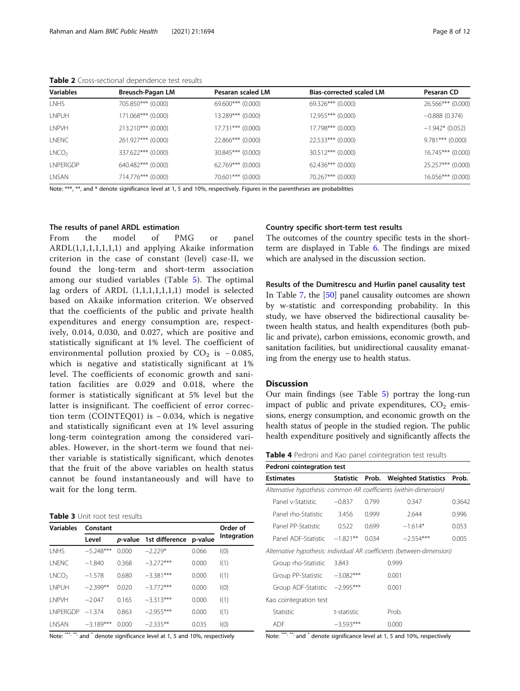| <b>Variables</b>  | Breusch-Pagan LM   | Pesaran scaled LM   | <b>Bias-corrected scaled LM</b> | Pesaran CD          |
|-------------------|--------------------|---------------------|---------------------------------|---------------------|
| <b>LNHS</b>       | 705.850*** (0.000) | $69.600***$ (0.000) | 69.326*** (0.000)               | 26.566*** (0.000)   |
| LNPUH             | 171.068*** (0.000) | 13.289*** (0.000)   | $12.955***$ (0.000)             | $-0.888(0.374)$     |
| <b>LNPVH</b>      | 213.210*** (0.000) | $17.731***$ (0.000) | 17.798*** (0.000)               | $-1.942*$ (0.052)   |
| <b>LNENC</b>      | 261.927*** (0.000) | $22.866***$ (0.000) | $22.533***$ (0.000)             | $9.781***$ (0.000)  |
| LNCO <sub>2</sub> | 337.622*** (0.000) | $30.845***$ (0.000) | $30.512***$ (0.000)             | $16.745***$ (0.000) |
| LNPERGDP          | 640.482*** (0.000) | $62.769***$ (0.000) | $62.436***$ (0.000)             | 25.257*** (0.000)   |
| LNSAN             | 714.776*** (0.000) | $70.601***$ (0.000) | 70.267*** (0.000)               | 16.056*** (0.000)   |

<span id="page-7-0"></span>Table 2 Cross-sectional dependence test results

Note: \*\*\*, \*\*, and \* denote significance level at 1, 5 and 10%, respectively. Figures in the parentheses are probabilities

#### The results of panel ARDL estimation

From the model of PMG or panel  $ARDL(1,1,1,1,1,1,1)$  and applying Akaike information criterion in the case of constant (level) case-II, we found the long-term and short-term association among our studied variables (Table [5\)](#page-8-0). The optimal lag orders of ARDL (1,1,1,1,1,1,1) model is selected based on Akaike information criterion. We observed that the coefficients of the public and private health expenditures and energy consumption are, respectively, 0.014, 0.030, and 0.027, which are positive and statistically significant at 1% level. The coefficient of environmental pollution proxied by  $CO<sub>2</sub>$  is  $-0.085$ , which is negative and statistically significant at 1% level. The coefficients of economic growth and sanitation facilities are 0.029 and 0.018, where the former is statistically significant at 5% level but the latter is insignificant. The coefficient of error correction term (COINTEQ01) is − 0.034, which is negative and statistically significant even at 1% level assuring long-term cointegration among the considered variables. However, in the short-term we found that neither variable is statistically significant, which denotes that the fruit of the above variables on health status cannot be found instantaneously and will have to wait for the long term.

Table 3 Unit root test results

| <b>Variables</b>  | Constant    | Order of        |                |         |             |  |
|-------------------|-------------|-----------------|----------------|---------|-------------|--|
|                   | Level       | <i>p</i> -value | 1st difference | p-value | Integration |  |
| LNHS              | $-5.248***$ | 0.000           | $-2.229*$      | 0.066   | I(0)        |  |
| <b>INENC</b>      | $-1.840$    | 0.368           | $-3.272***$    | 0.000   | I(1)        |  |
| LNCO <sub>2</sub> | $-1.578$    | 0.680           | $-3.381***$    | 0.000   | I(1)        |  |
| <b>INPUH</b>      | $-2.399**$  | 0.020           | $-3.772***$    | 0.000   | I(0)        |  |
| <b>I NPVH</b>     | $-2.047$    | 0.165           | $-3.313***$    | 0.000   | I(1)        |  |
| <b>I NPFRGDP</b>  | $-1.374$    | 0.863           | $-2.955***$    | 0.000   | I(1)        |  |
| <b>INSAN</b>      | $-3.189***$ | 0.000           | $-2.335**$     | 0.035   | I(0)        |  |

Note: \*\*\*, \*\*, and \* denote significance level at 1, 5 and 10%, respectively

#### Country specific short-term test results

The outcomes of the country specific tests in the shortterm are displayed in Table [6](#page-8-0). The findings are mixed which are analysed in the discussion section.

#### Results of the Dumitrescu and Hurlin panel causality test

In Table [7](#page-9-0), the [\[50\]](#page-11-0) panel causality outcomes are shown by w-statistic and corresponding probability. In this study, we have observed the bidirectional causality between health status, and health expenditures (both public and private), carbon emissions, economic growth, and sanitation facilities, but unidirectional causality emanating from the energy use to health status.

#### **Discussion**

Our main findings (see Table [5](#page-8-0)) portray the long-run impact of public and private expenditures,  $CO<sub>2</sub>$  emissions, energy consumption, and economic growth on the health status of people in the studied region. The public health expenditure positively and significantly affects the

Table 4 Pedroni and Kao panel cointegration test results

| Pedroni cointegration test                                        |                   |       |                                                                        |        |  |  |  |
|-------------------------------------------------------------------|-------------------|-------|------------------------------------------------------------------------|--------|--|--|--|
| <b>Estimates</b>                                                  | Statistic Prob.   |       | Weighted Statistics Prob.                                              |        |  |  |  |
| Alternative hypothesis: common AR coefficients (within-dimension) |                   |       |                                                                        |        |  |  |  |
| Panel v-Statistic                                                 | $-0.837$<br>0.799 |       | 0.347                                                                  | 0.3642 |  |  |  |
| Panel rho-Statistic                                               | 3.456             | 0.999 | 2.644                                                                  | 0.996  |  |  |  |
| Panel PP-Statistic                                                | 0.522             | 0.699 | $-1.614*$                                                              | 0.053  |  |  |  |
| Panel ADF-Statistic - 1.821**                                     |                   | 0.034 | $-2.554***$                                                            | 0.005  |  |  |  |
|                                                                   |                   |       | Alternative hypothesis: individual AR coefficients (between-dimension) |        |  |  |  |
| Group rho-Statistic                                               | 3.843             |       | 0.999                                                                  |        |  |  |  |
| Group PP-Statistic $-3.082***$                                    |                   |       | 0.001                                                                  |        |  |  |  |
| Group ADF-Statistic -2.995***                                     |                   |       | 0.001                                                                  |        |  |  |  |
| Kao cointegration test                                            |                   |       |                                                                        |        |  |  |  |
| Statistic                                                         | t-statistic       |       | Prob.                                                                  |        |  |  |  |
| ADF                                                               | $-3.593***$       |       | 0.000                                                                  |        |  |  |  |

Note: \*\*\*, \*\*, and \* denote significance level at 1, 5 and 10%, respectively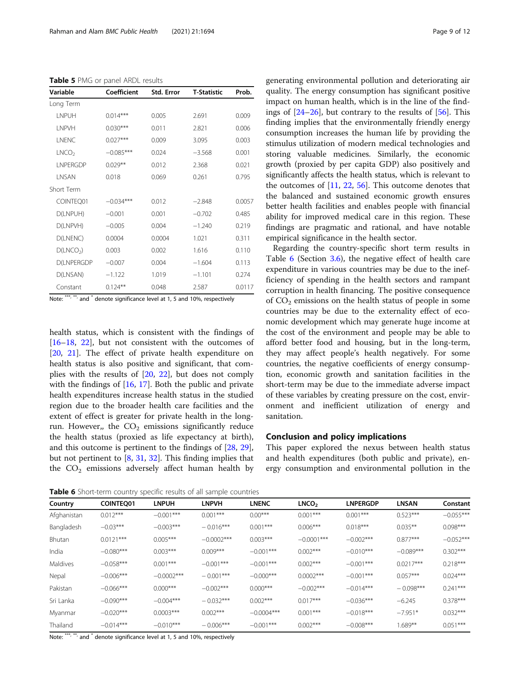<span id="page-8-0"></span>Table 5 PMG or panel ARDL results

| Variable              | Coefficient | Std. Error | <b>T-Statistic</b> | Prob.  |
|-----------------------|-------------|------------|--------------------|--------|
| Long Term             |             |            |                    |        |
| <b>I NPUH</b>         | $0.014***$  | 0.005      | 2.691              | 0.009  |
| I NPVH                | $0.030***$  | 0.011      | 2.821              | 0.006  |
| <b>INENC</b>          | $0.027***$  | 0.009      | 3.095              | 0.003  |
| LNCO <sub>2</sub>     | $-0.085***$ | 0.024      | $-3.568$           | 0.001  |
| <b>INPERGDP</b>       | $0.029**$   | 0.012      | 2.368              | 0.021  |
| <b>INSAN</b>          | 0.018       | 0.069      | 0.261              | 0.795  |
| Short Term            |             |            |                    |        |
| COINTEQ01             | $-0.034***$ | 0.012      | $-2.848$           | 0.0057 |
| D(LNPUH)              | $-0.001$    | 0.001      | $-0.702$           | 0.485  |
| D(LNPVH)              | $-0.005$    | 0.004      | $-1.240$           | 0.219  |
| D(LNENC)              | 0.0004      | 0.0004     | 1.021              | 0.311  |
| D(LNCO <sub>2</sub> ) | 0.003       | 0.002      | 1.616              | 0.110  |
| <b>D(LNPERGDP</b>     | $-0.007$    | 0.004      | $-1.604$           | 0.113  |
| D(LNSAN)              | $-1.122$    | 1.019      | $-1.101$           | 0.274  |
| Constant              | $0.124***$  | 0.048      | 2.587              | 0.0117 |

Note: \*\*\*, \*\*, and  $*$  denote significance level at 1, 5 and 10%, respectively

health status, which is consistent with the findings of [[16](#page-10-0)–[18](#page-10-0), [22\]](#page-10-0), but not consistent with the outcomes of [[20,](#page-10-0) [21](#page-10-0)]. The effect of private health expenditure on health status is also positive and significant, that complies with the results of [[20,](#page-10-0) [22\]](#page-10-0), but does not comply with the findings of [[16,](#page-10-0) [17\]](#page-10-0). Both the public and private health expenditures increase health status in the studied region due to the broader health care facilities and the extent of effect is greater for private health in the longrun. However,, the  $CO<sub>2</sub>$  emissions significantly reduce the health status (proxied as life expectancy at birth), and this outcome is pertinent to the findings of [\[28,](#page-10-0) [29](#page-10-0)], but not pertinent to [\[8](#page-10-0), [31](#page-10-0), [32](#page-10-0)]. This finding implies that the  $CO<sub>2</sub>$  emissions adversely affect human health by

Table 6 Short-term country specific results of all sample countries

generating environmental pollution and deteriorating air quality. The energy consumption has significant positive impact on human health, which is in the line of the findings of [\[24](#page-10-0)–[26\]](#page-10-0), but contrary to the results of [[56\]](#page-11-0). This finding implies that the environmentally friendly energy consumption increases the human life by providing the stimulus utilization of modern medical technologies and storing valuable medicines. Similarly, the economic growth (proxied by per capita GDP) also positively and significantly affects the health status, which is relevant to the outcomes of [\[11](#page-10-0), [22](#page-10-0), [56\]](#page-11-0). This outcome denotes that the balanced and sustained economic growth ensures better health facilities and enables people with financial ability for improved medical care in this region. These findings are pragmatic and rational, and have notable empirical significance in the health sector.

Regarding the country-specific short term results in Table 6 (Section [3.6](#page-7-0)), the negative effect of health care expenditure in various countries may be due to the inefficiency of spending in the health sectors and rampant corruption in health financing. The positive consequence of  $CO<sub>2</sub>$  emissions on the health status of people in some countries may be due to the externality effect of economic development which may generate huge income at the cost of the environment and people may be able to afford better food and housing, but in the long-term, they may affect people's health negatively. For some countries, the negative coefficients of energy consumption, economic growth and sanitation facilities in the short-term may be due to the immediate adverse impact of these variables by creating pressure on the cost, environment and inefficient utilization of energy and sanitation.

#### Conclusion and policy implications

This paper explored the nexus between health status and health expenditures (both public and private), energy consumption and environmental pollution in the

| Country     | <b>COINTEO01</b> | <b>LNPUH</b> | <b>LNPVH</b> | <b>LNENC</b> | LNCO <sub>2</sub> | <b>LNPERGDP</b> | <b>LNSAN</b> | Constant    |
|-------------|------------------|--------------|--------------|--------------|-------------------|-----------------|--------------|-------------|
| Afghanistan | $0.012***$       | $-0.001***$  | $0.001***$   | $0.00***$    | $0.001***$        | $0.001***$      | $0.523***$   | $-0.055***$ |
| Bangladesh  | $-0.03***$       | $-0.003***$  | $-0.016***$  | $0.001***$   | $0.006***$        | $0.018***$      | $0.035***$   | $0.098***$  |
| Bhutan      | $0.0121***$      | $0.005***$   | $-0.0002***$ | $0.003***$   | $-0.0001***$      | $-0.002***$     | $0.877***$   | $-0.052***$ |
| India       | $-0.080***$      | $0.003***$   | $0.009***$   | $-0.001***$  | $0.002***$        | $-0.010***$     | $-0.089***$  | $0.302***$  |
| Maldives    | $-0.058***$      | $0.001***$   | $-0.001***$  | $-0.001***$  | $0.002***$        | $-0.001***$     | $0.0217***$  | $0.218***$  |
| Nepal       | $-0.006***$      | $-0.0002***$ | $-0.001***$  | $-0.000***$  | $0.0002***$       | $-0.001$ ***    | $0.057***$   | $0.024***$  |
| Pakistan    | $-0.066***$      | $0.000***$   | $-0.002***$  | $0.000***$   | $-0.002***$       | $-0.014***$     | $-0.098***$  | $0.241***$  |
| Sri Lanka   | $-0.090***$      | $-0.004***$  | $-0.032***$  | $0.002***$   | $0.017***$        | $-0.036***$     | $-6.245$     | $0.378***$  |
| Myanmar     | $-0.020***$      | $0.0003***$  | $0.002***$   | $-0.0004***$ | $0.001***$        | $-0.018***$     | $-7.951*$    | $0.032***$  |
| Thailand    | $-0.014***$      | $-0.010***$  | $-0.006***$  | $-0.001***$  | $0.002***$        | $-0.008***$     | $1.689**$    | $0.051***$  |

Note: \*\*\*, \*\*, and \* denote significance level at 1, 5 and 10%, respectively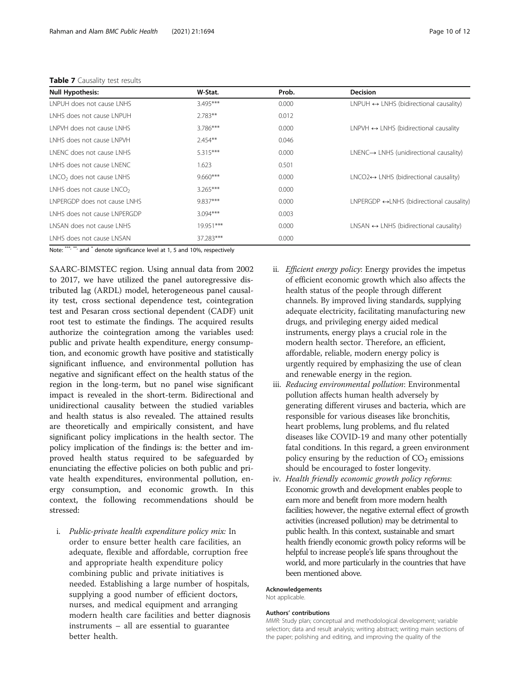#### <span id="page-9-0"></span>Table 7 Causality test results

| <b>Null Hypothesis:</b>               | W-Stat.    | Prob. | <b>Decision</b>                                           |
|---------------------------------------|------------|-------|-----------------------------------------------------------|
| LNPUH does not cause LNHS             | $3.495***$ | 0.000 | $LNPUH \leftrightarrow LNHS$ (bidirectional causality)    |
| I NHS does not cause I NPUH           | $2.783**$  | 0.012 |                                                           |
| <b>I NPVH does not cause I NHS</b>    | 3.786***   | 0.000 | $LNPVH \leftrightarrow LNHS$ (bidirectional causality     |
| I NHS does not cause I NPVH           | $2.454**$  | 0.046 |                                                           |
| LNENC does not cause LNHS             | $5.315***$ | 0.000 | $LNENC \rightarrow LNHS$ (unidirectional causality)       |
| LNHS does not cause LNENC             | 1.623      | 0.501 |                                                           |
| $LNCO2$ does not cause $LNHS$         | $9.660***$ | 0.000 | $LNCO2 \leftrightarrow LNHS$ (bidirectional causality)    |
| LNHS does not cause LNCO <sub>2</sub> | $3.265***$ | 0.000 |                                                           |
| <b>INPERGDP</b> does not cause INHS   | 9.837***   | 0.000 | $LNPERGDP \leftrightarrow LNHS$ (bidirectional causality) |
| LNHS does not cause LNPERGDP          | $3.094***$ | 0.003 |                                                           |
| LNSAN does not cause LNHS             | 19.951***  | 0.000 | $LNSAN \leftrightarrow LNHS$ (bidirectional causality)    |
| LNHS does not cause LNSAN             | 37.283***  | 0.000 |                                                           |

Note: \*\*\*, \*\*\*, and \* denote significance level at 1, 5 and 10%, respectively

SAARC-BIMSTEC region. Using annual data from 2002 to 2017, we have utilized the panel autoregressive distributed lag (ARDL) model, heterogeneous panel causality test, cross sectional dependence test, cointegration test and Pesaran cross sectional dependent (CADF) unit root test to estimate the findings. The acquired results authorize the cointegration among the variables used: public and private health expenditure, energy consumption, and economic growth have positive and statistically significant influence, and environmental pollution has negative and significant effect on the health status of the region in the long-term, but no panel wise significant impact is revealed in the short-term. Bidirectional and unidirectional causality between the studied variables and health status is also revealed. The attained results are theoretically and empirically consistent, and have significant policy implications in the health sector. The policy implication of the findings is: the better and improved health status required to be safeguarded by enunciating the effective policies on both public and private health expenditures, environmental pollution, energy consumption, and economic growth. In this context, the following recommendations should be stressed:

i. Public-private health expenditure policy mix: In order to ensure better health care facilities, an adequate, flexible and affordable, corruption free and appropriate health expenditure policy combining public and private initiatives is needed. Establishing a large number of hospitals, supplying a good number of efficient doctors, nurses, and medical equipment and arranging modern health care facilities and better diagnosis instruments – all are essential to guarantee better health.

- ii. Efficient energy policy: Energy provides the impetus of efficient economic growth which also affects the health status of the people through different channels. By improved living standards, supplying adequate electricity, facilitating manufacturing new drugs, and privileging energy aided medical instruments, energy plays a crucial role in the modern health sector. Therefore, an efficient, affordable, reliable, modern energy policy is urgently required by emphasizing the use of clean and renewable energy in the region.
- iii. Reducing environmental pollution: Environmental pollution affects human health adversely by generating different viruses and bacteria, which are responsible for various diseases like bronchitis, heart problems, lung problems, and flu related diseases like COVID-19 and many other potentially fatal conditions. In this regard, a green environment policy ensuring by the reduction of  $CO<sub>2</sub>$  emissions should be encouraged to foster longevity.
- iv. Health friendly economic growth policy reforms: Economic growth and development enables people to earn more and benefit from more modern health facilities; however, the negative external effect of growth activities (increased pollution) may be detrimental to public health. In this context, sustainable and smart health friendly economic growth policy reforms will be helpful to increase people's life spans throughout the world, and more particularly in the countries that have been mentioned above.

#### Acknowledgements

Not applicable.

#### Authors' contributions

MMR: Study plan; conceptual and methodological development; variable selection; data and result analysis; writing abstract; writing main sections of the paper; polishing and editing, and improving the quality of the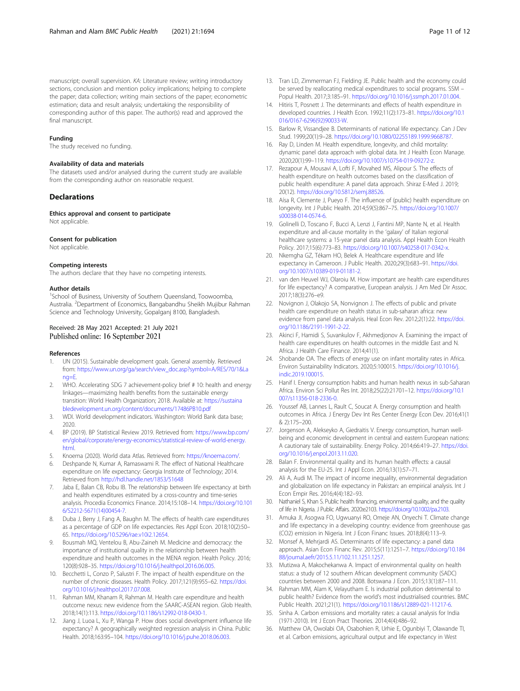<span id="page-10-0"></span>manuscript; overall supervision. KA: Literature review; writing introductory sections, conclusion and mention policy implications; helping to complete the paper; data collection; writing main sections of the paper; econometric estimation; data and result analysis; undertaking the responsibility of corresponding author of this paper. The author(s) read and approved the final manuscript.

#### Funding

The study received no funding.

#### Availability of data and materials

The datasets used and/or analysed during the current study are available from the corresponding author on reasonable request.

#### **Declarations**

Ethics approval and consent to participate

Not applicable.

#### Consent for publication

Not applicable.

#### Competing interests

The authors declare that they have no competing interests.

#### Author details

<sup>1</sup>School of Business, University of Southern Queensland, Toowoomba, Australia. <sup>2</sup>Department of Economics, Bangabandhu Sheikh Mujibur Rahman Science and Technology University, Gopalganj 8100, Bangladesh.

#### Received: 28 May 2021 Accepted: 21 July 2021 Published online: 16 September 2021

#### References

- 1. UN (2015). Sustainable development goals. General assembly. Retrieved from: [https://www.un.org/ga/search/view\\_doc.asp?symbol=A/RES/70/1&La](https://www.un.org/ga/search/view_doc.asp?symbol=A/RES/70/1&Lang=E) [ng=E.](https://www.un.org/ga/search/view_doc.asp?symbol=A/RES/70/1&Lang=E)
- 2. WHO. Accelerating SDG 7 achievement-policy brief # 10: health and energy linkages—maximizing health benefits from the sustainable energy transition: World Health Organization; 2018. Available at: [https://sustaina](https://sustainabledevelopment.un.org/content/documents/17486PB10.pdf) [bledevelopment.un.org/content/documents/17486PB10.pdf](https://sustainabledevelopment.un.org/content/documents/17486PB10.pdf)
- 3. WDI. World development indicators. Washington: World Bank data base; 2020.
- 4. BP (2019). BP Statistical Review 2019. Retrieved from: [https://www.bp.com/](https://www.bp.com/en/global/corporate/energy-economics/statistical-review-of-world-energy.html) [en/global/corporate/energy-economics/statistical-review-of-world-energy.](https://www.bp.com/en/global/corporate/energy-economics/statistical-review-of-world-energy.html) [html.](https://www.bp.com/en/global/corporate/energy-economics/statistical-review-of-world-energy.html)
- Knoema (2020). World data Atlas. Retrieved from: [https://knoema.com/.](https://knoema.com/)
- 6. Deshpande N, Kumar A, Ramaswami R. The effect of National Healthcare expenditure on life expectancy: Georgia Institute of Technology; 2014. Retrieved from <http://hdl.handle.net/1853/51648>
- 7. Jaba E, Balan CB, Robu IB. The relationship between life expectancy at birth and health expenditures estimated by a cross-country and time-series analysis. Procedia Economics Finance. 2014;15:108–14. [https://doi.org/10.101](https://doi.org/10.1016/S2212-5671(14)00454-7) [6/S2212-5671\(14\)00454-7](https://doi.org/10.1016/S2212-5671(14)00454-7).
- Duba J, Berry J, Fang A, Baughn M. The effects of health care expenditures as a percentage of GDP on life expectancies. Res Appl Econ. 2018;10(2):50– 65. <https://doi.org/10.5296/rae.v10i2.12654>.
- Bousmah MQ, Ventelou B, Abu-Zaineh M. Medicine and democracy: the importance of institutional quality in the relationship between health expenditure and health outcomes in the MENA region. Health Policy. 2016; 120(8):928–35. <https://doi.org/10.1016/j.healthpol.2016.06.005>.
- 10. Becchetti L, Conzo P, Salustri F. The impact of health expenditure on the number of chronic diseases. Health Policy. 2017;121(9):955–62. [https://doi.](https://doi.org/10.1016/j.healthpol.2017.07.008) [org/10.1016/j.healthpol.2017.07.008.](https://doi.org/10.1016/j.healthpol.2017.07.008)
- 11. Rahman MM, Khanam R, Rahman M. Health care expenditure and health outcome nexus: new evidence from the SAARC-ASEAN region. Glob Health. 2018;14(1):113. [https://doi.org/10.1186/s12992-018-0430-1.](https://doi.org/10.1186/s12992-018-0430-1)
- 12. Jiang J, Luoa L, Xu P, Wanga P. How does social development influence life expectancy? A geographically weighted regression analysis in China. Public Health. 2018;163:95–104. [https://doi.org/10.1016/j.puhe.2018.06.003.](https://doi.org/10.1016/j.puhe.2018.06.003)
- 13. Tran LD, Zimmerman FJ, Fielding JE. Public health and the economy could be served by reallocating medical expenditures to social programs. SSM – Popul Health. 2017;3:185–91. <https://doi.org/10.1016/j.ssmph.2017.01.004>.
- 14. Hitiris T, Posnett J. The determinants and effects of health expenditure in developed countries. J Health Econ. 1992;11(2):173–81. [https://doi.org/10.1](https://doi.org/10.1016/0167-6296(92)90033-W) [016/0167-6296\(92\)90033-W](https://doi.org/10.1016/0167-6296(92)90033-W).
- 15. Barlow R, Vissandjee B. Determinants of national life expectancy. Can J Dev Stud. 1999;20(1):9–28. [https://doi.org/10.1080/02255189.1999.9668787.](https://doi.org/10.1080/02255189.1999.9668787)
- 16. Ray D, Linden M. Health expenditure, longevity, and child mortality: dynamic panel data approach with global data. Int J Health Econ Manage. 2020;20(1):99–119. [https://doi.org/10.1007/s10754-019-09272-z.](https://doi.org/10.1007/s10754-019-09272-z)
- 17. Rezapour A, Mousavi A, Lofti F, Movahed MS, Alipour S. The effects of health expenditure on health outcomes based on the classification of public health expenditure: A panel data approach. Shiraz E-Med J. 2019; 20(12). <https://doi.org/10.5812/semj.88526>.
- 18. Aísa R, Clemente J, Pueyo F. The influence of (public) health expenditure on longevity. Int J Public Health. 2014;59(5):867–75. [https://doi.org/10.1007/](https://doi.org/10.1007/s00038-014-0574-6) [s00038-014-0574-6.](https://doi.org/10.1007/s00038-014-0574-6)
- 19. Golinelli D, Toscano F, Bucci A, Lenzi J, Fantini MP, Nante N, et al. Health expenditure and all-cause mortality in the 'galaxy' of Italian regional healthcare systems: a 15-year panel data analysis. Appl Health Econ Health Policy. 2017;15(6):773–83. [https://doi.org/10.1007/s40258-017-0342-x.](https://doi.org/10.1007/s40258-017-0342-x)
- 20. Nkemgha GZ, Tékam HO, Belek A. Healthcare expenditure and life expectancy in Cameroon. J Public Health. 2020;29(3):683–91. [https://doi.](https://doi.org/10.1007/s10389-019-01181-2) [org/10.1007/s10389-019-01181-2.](https://doi.org/10.1007/s10389-019-01181-2)
- 21. van den Heuvel WJ, Olaroiu M. How important are health care expenditures for life expectancy? A comparative, European analysis. J Am Med Dir Assoc. 2017;18(3):276–e9.
- 22. Novignon J, Olakojo SA, Nonvignon J. The effects of public and private health care expenditure on health status in sub-saharan africa: new evidence from panel data analysis. Heal Econ Rev. 2012;2(1):22. [https://doi.](https://doi.org/10.1186/2191-1991-2-22) [org/10.1186/2191-1991-2-22.](https://doi.org/10.1186/2191-1991-2-22)
- 23. Akinci F, Hamidi S, Suvankulov F, Akhmedjonov A. Examining the impact of health care expenditures on health outcomes in the middle East and N. Africa. J Health Care Finance. 2014;41(1).
- 24. Shobande OA. The effects of energy use on infant mortality rates in Africa. Environ Sustainability Indicators. 2020;5:100015. [https://doi.org/10.1016/j.](https://doi.org/10.1016/j.indic.2019.100015) [indic.2019.100015.](https://doi.org/10.1016/j.indic.2019.100015)
- 25. Hanif I. Energy consumption habits and human health nexus in sub-Saharan Africa. Environ Sci Pollut Res Int. 2018;25(22):21701–12. [https://doi.org/10.1](https://doi.org/10.1007/s11356-018-2336-0) [007/s11356-018-2336-0.](https://doi.org/10.1007/s11356-018-2336-0)
- 26. Youssef AB, Lannes L, Rault C, Soucat A. Energy consumption and health outcomes in Africa. J Energy Dev Int Res Center Energy Econ Dev. 2016;41(1 & 2):175–200.
- 27. Jorgenson A, Alekseyko A, Giedraitis V. Energy consumption, human wellbeing and economic development in central and eastern European nations: A cautionary tale of sustainability. Energy Policy. 2014;66:419–27. [https://doi.](https://doi.org/10.1016/j.enpol.2013.11.020) [org/10.1016/j.enpol.2013.11.020](https://doi.org/10.1016/j.enpol.2013.11.020).
- 28. Balan F. Environmental quality and its human health effects: a causal analysis for the EU-25. Int J Appl Econ. 2016;13(1):57–71.
- 29. Ali A, Audi M. The impact of income inequality, environmental degradation and globalization on life expectancy in Pakistan: an empirical analysis. Int J Econ Empir Res. 2016;4(4):182–93.
- 30. Nathaniel S, Khan S. Public health financing, environmental quality, and the quality of life in Nigeria. J Public Affairs. 2020:e2103. [https://doi.org/10.1002/pa.2103.](https://doi.org/10.1002/pa.2103)
- 31. Amuka JI, Asogwa FO, Ugwuanyi RO, Omeje AN, Onyechi T. Climate change and life expectancy in a developing country: evidence from greenhouse gas (CO2) emission in Nigeria. Int J Econ Financ Issues. 2018;8(4):113–9.
- 32. Monsef A, Mehrjardi AS. Determinants of life expectancy: a panel data approach. Asian Econ Financ Rev. 2015;5(11):1251–7. [https://doi.org/10.184](https://doi.org/10.18488/journal.aefr/2015.5.11/102.11.1251.1257) [88/journal.aefr/2015.5.11/102.11.1251.1257](https://doi.org/10.18488/journal.aefr/2015.5.11/102.11.1251.1257).
- 33. Mutizwa A, Makochekanwa A. Impact of environmental quality on health status: a study of 12 southern African development community (SADC) countries between 2000 and 2008. Botswana J Econ. 2015;13(1):87–111.
- 34. Rahman MM, Alam K, Velayutham E. Is industrial pollution detrimental to public health? Evidence from the world's most industrialised countries. BMC Public Health. 2021;21(1). [https://doi.org/10.1186/s12889-021-11217-6.](https://doi.org/10.1186/s12889-021-11217-6)
- 35. Sinha A. Carbon emissions and mortality rates: a causal analysis for India (1971-2010). Int J Econ Pract Theories. 2014;4(4):486–92.
- 36. Matthew OA, Owolabi OA, Osabohien R, Urhie E, Ogunbiyi T, Olawande TI, et al. Carbon emissions, agricultural output and life expectancy in West